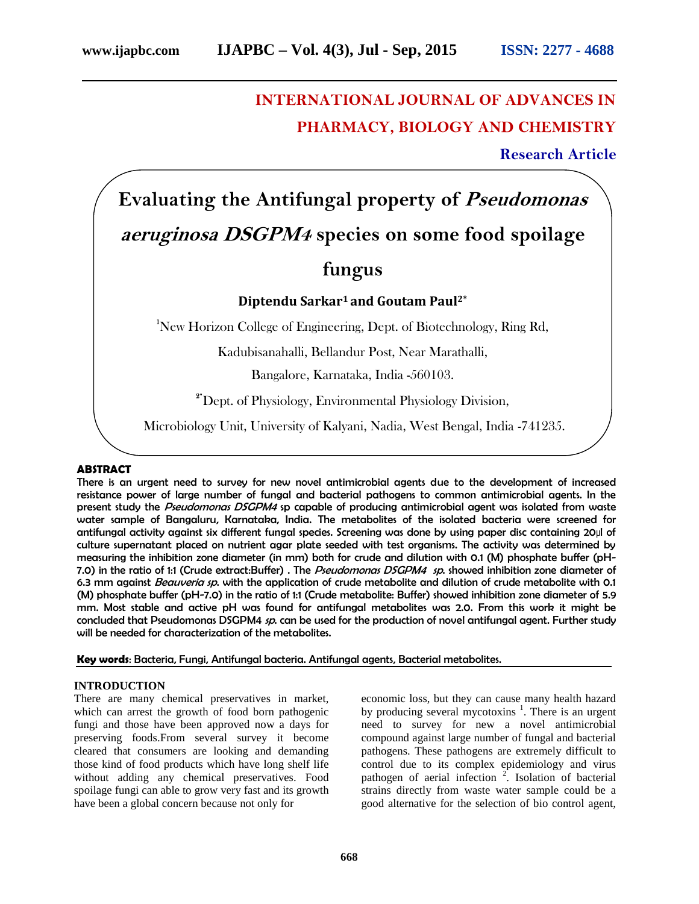# **INTERNATIONAL JOURNAL OF ADVANCES IN PHARMACY, BIOLOGY AND CHEMISTRY**

**Research Article**

# **Evaluating the Antifungal property of** *Pseudomonas aeruginosa DSGPM4* **species on some food spoilage fungus**

# **Diptendu Sarkar<sup>1</sup> and Goutam Paul2\***

**<sup>1</sup>**New Horizon College of Engineering, Dept. of Biotechnology, Ring Rd,

Kadubisanahalli, Bellandur Post, Near Marathalli,

Bangalore, Karnataka, India -560103.

**2\***Dept. of Physiology, Environmental Physiology Division,

Microbiology Unit, University of Kalyani, Nadia, West Bengal, India -741235.

#### **ABSTRACT**

There is an urgent need to survey for new novel antimicrobial agents due to the development of increased resistance power of large number of fungal and bacterial pathogens to common antimicrobial agents. In the present study the *Pseudomonas DSGPM4* sp capable of producing antimicrobial agent was isolated from waste water sample of Bangaluru, Karnataka, India. The metabolites of the isolated bacteria were screened for antifungal activity against six different fungal species. Screening was done by using paper disc containing 20µl of culture supernatant placed on nutrient agar plate seeded with test organisms. The activity was determined by measuring the inhibition zone diameter (in mm) both for crude and dilution with 0.1 (M) phosphate buffer (pH- 7.0) in the ratio of 1:1 (Crude extract:Buffer) . The *Pseudomonas DSGPM4 sp*. showed inhibition zone diameter of 6.3 mm against *Beauveria sp*. with the application of crude metabolite and dilution of crude metabolite with 0.1 (M) phosphate buffer (pH-7.0) in the ratio of 1:1 (Crude metabolite: Buffer) showed inhibition zone diameter of 5.9 mm. Most stable and active pH was found for antifungal metabolites was 2.0. From this work it might be concluded that Pseudomonas DSGPM4 *sp*. can be used for the production of novel antifungal agent. Further study will be needed for characterization of the metabolites.

**Key words**: Bacteria, Fungi, Antifungal bacteria. Antifungal agents, Bacterial metabolites.

#### **INTRODUCTION**

There are many chemical preservatives in market, which can arrest the growth of food born pathogenic fungi and those have been approved now a days for preserving foods.From several survey it become cleared that consumers are looking and demanding those kind of food products which have long shelf life without adding any chemical preservatives. Food spoilage fungi can able to grow very fast and its growth have been a global concern because not only for

economic loss, but they can cause many health hazard by producing several mycotoxins  $\frac{1}{1}$ . There is an urgent need to survey for new a novel antimicrobial compound against large number of fungal and bacterial pathogens. These pathogens are extremely difficult to control due to its complex epidemiology and virus pathogen of aerial infection  $2$ . Isolation of bacterial strains directly from waste water sample could be a good alternative for the selection of bio control agent,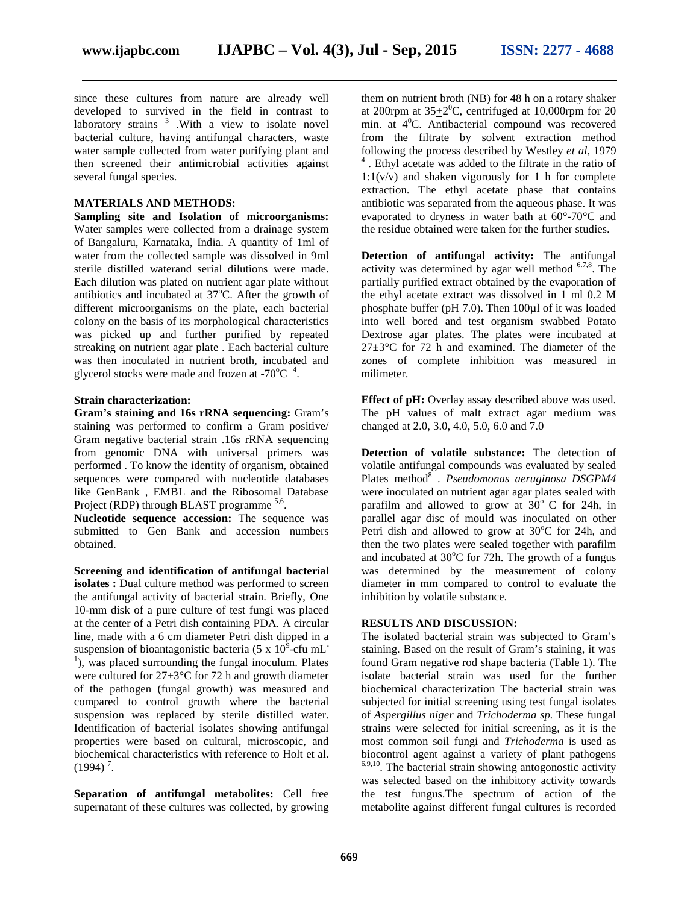since these cultures from nature are already well developed to survived in the field in contrast to laboratory strains  $3$  . With a view to isolate novel bacterial culture, having antifungal characters, waste water sample collected from water purifying plant and then screened their antimicrobial activities against several fungal species.

#### **MATERIALS AND METHODS:**

**Sampling site and Isolation of microorganisms:** Water samples were collected from a drainage system of Bangaluru, Karnataka, India. A quantity of 1ml of water from the collected sample was dissolved in 9ml sterile distilled waterand serial dilutions were made. Each dilution was plated on nutrient agar plate without antibiotics and incubated at  $37^{\circ}$ C. After the growth of different microorganisms on the plate, each bacterial colony on the basis of its morphological characteristics was picked up and further purified by repeated streaking on nutrient agar plate . Each bacterial culture was then inoculated in nutrient broth, incubated and glycerol stocks were made and frozen at -70 $^{\circ}$ C  $^{\circ}$ .

#### **Strain characterization:**

**Gram's staining and 16s rRNA sequencing:** Gram's staining was performed to confirm a Gram positive/ Gram negative bacterial strain .16s rRNA sequencing from genomic DNA with universal primers was performed . To know the identity of organism, obtained sequences were compared with nucleotide databases like GenBank , EMBL and the Ribosomal Database Project (RDP) through BLAST programme <sup>5,6</sup>.

**Nucleotide sequence accession:** The sequence was submitted to Gen Bank and accession numbers obtained.

**Screening and identification of antifungal bacterial isolates :** Dual culture method was performed to screen the antifungal activity of bacterial strain. Briefly, One 10-mm disk of a pure culture of test fungi was placed at the center of a Petri dish containing PDA. A circular line, made with a 6 cm diameter Petri dish dipped in a suspension of bioantagonistic bacteria (5 x  $10^9$ -cfu mL<sup>-1</sup>), was placed surrounding the fungal inoculum. Plates were cultured for 27±3°C for 72 h and growth diameter of the pathogen (fungal growth) was measured and compared to control growth where the bacterial suspension was replaced by sterile distilled water. Identification of bacterial isolates showing antifungal properties were based on cultural, microscopic, and biochemical characteristics with reference to Holt et al.  $(1994)$ <sup>7</sup>.

**Separation of antifungal metabolites:** Cell free supernatant of these cultures was collected, by growing them on nutrient broth (NB) for 48 h on a rotary shaker at 200rpm at  $35\pm2\degree$ C, centrifuged at 10,000rpm for 20 min. at  $4^{\circ}$ C. Antibacterial compound was recovered from the filtrate by solvent extraction method following the process described by Westley *et al*, 1979 4 . Ethyl acetate was added to the filtrate in the ratio of 1:1(v/v) and shaken vigorously for 1 h for complete extraction. The ethyl acetate phase that contains antibiotic was separated from the aqueous phase. It was evaporated to dryness in water bath at 60°-70°C and the residue obtained were taken for the further studies.

**Detection of antifungal activity:** The antifungal activity was determined by agar well method <sup>6.7,8</sup>. The partially purified extract obtained by the evaporation of the ethyl acetate extract was dissolved in 1 ml 0.2 M phosphate buffer (pH 7.0). Then 100µl of it was loaded into well bored and test organism swabbed Potato Dextrose agar plates. The plates were incubated at  $27\pm3$ °C for 72 h and examined. The diameter of the zones of complete inhibition was measured in milimeter.

**Effect of pH:** Overlay assay described above was used. The pH values of malt extract agar medium was changed at 2.0, 3.0, 4.0, 5.0, 6.0 and 7.0

**Detection of volatile substance:** The detection of volatile antifungal compounds was evaluated by sealed Plates method<sup>8</sup>. *Pseudomonas aeruginosa DSGPM4* were inoculated on nutrient agar agar plates sealed with parafilm and allowed to grow at  $30^{\circ}$  C for 24h, in parallel agar disc of mould was inoculated on other Petri dish and allowed to grow at  $30^{\circ}$ C for 24h, and then the two plates were sealed together with parafilm and incubated at  $30^{\circ}$ C for 72h. The growth of a fungus was determined by the measurement of colony diameter in mm compared to control to evaluate the inhibition by volatile substance.

#### **RESULTS AND DISCUSSION:**

The isolated bacterial strain was subjected to Gram's staining. Based on the result of Gram's staining, it was found Gram negative rod shape bacteria (Table 1). The isolate bacterial strain was used for the further biochemical characterization The bacterial strain was subjected for initial screening using test fungal isolates of *Aspergillus niger* and *Trichoderma sp.* These fungal strains were selected for initial screening, as it is the most common soil fungi and *Trichoderma* is used as biocontrol agent against a variety of plant pathogens 6,9,10 . The bacterial strain showing antogonostic activity was selected based on the inhibitory activity towards the test fungus.The spectrum of action of the metabolite against different fungal cultures is recorded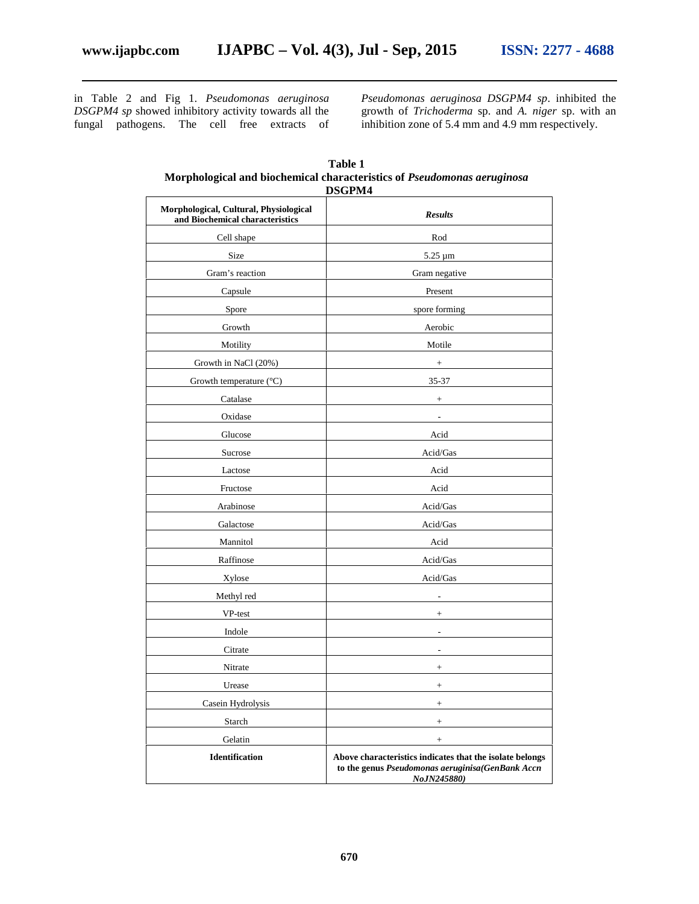in Table 2 and Fig 1. *Pseudomonas aeruginosa DSGPM4 sp* showed inhibitory activity towards all the fungal pathogens. The cell free extracts of *Pseudomonas aeruginosa DSGPM4 sp*. inhibited the growth of *Trichoderma* sp. and *A. niger* sp. with an inhibition zone of 5.4 mm and 4.9 mm respectively.

| Morphological, Cultural, Physiological<br>and Biochemical characteristics | <b>Results</b>                                                                                                              |
|---------------------------------------------------------------------------|-----------------------------------------------------------------------------------------------------------------------------|
| Cell shape                                                                | $\mathop{\mathrm{Rod}}$                                                                                                     |
| Size                                                                      | 5.25 µm                                                                                                                     |
| Gram's reaction                                                           | Gram negative                                                                                                               |
| Capsule                                                                   | Present                                                                                                                     |
| Spore                                                                     | spore forming                                                                                                               |
| Growth                                                                    | Aerobic                                                                                                                     |
| Motility                                                                  | Motile                                                                                                                      |
| Growth in NaCl (20%)                                                      | $\! + \!$                                                                                                                   |
| Growth temperature (°C)                                                   | 35-37                                                                                                                       |
| Catalase                                                                  | $^{+}$                                                                                                                      |
| Oxidase                                                                   |                                                                                                                             |
| Glucose                                                                   | Acid                                                                                                                        |
| Sucrose                                                                   | Acid/Gas                                                                                                                    |
| Lactose                                                                   | Acid                                                                                                                        |
| Fructose                                                                  | Acid                                                                                                                        |
| Arabinose                                                                 | Acid/Gas                                                                                                                    |
| Galactose                                                                 | Acid/Gas                                                                                                                    |
| Mannitol                                                                  | Acid                                                                                                                        |
| Raffinose                                                                 | Acid/Gas                                                                                                                    |
| Xylose                                                                    | Acid/Gas                                                                                                                    |
| Methyl red                                                                |                                                                                                                             |
| VP-test                                                                   |                                                                                                                             |
| Indole                                                                    |                                                                                                                             |
| Citrate                                                                   |                                                                                                                             |
| Nitrate                                                                   | $^{+}$                                                                                                                      |
| Urease                                                                    | $^{+}$                                                                                                                      |
| Casein Hydrolysis                                                         | $^+$                                                                                                                        |
| Starch                                                                    | $^{+}$                                                                                                                      |
| Gelatin                                                                   | $\boldsymbol{+}$                                                                                                            |
| <b>Identification</b>                                                     | Above characteristics indicates that the isolate belongs<br>to the genus Pseudomonas aeruginisa(GenBank Accn<br>NoJN245880) |

| Table 1<br>Morphological and biochemical characteristics of <i>Pseudomonas aeruginosa</i><br>DSGPM4 |                |  |  |
|-----------------------------------------------------------------------------------------------------|----------------|--|--|
| Morphological, Cultural, Physiological<br>and Riochemical characteristics                           | <b>Results</b> |  |  |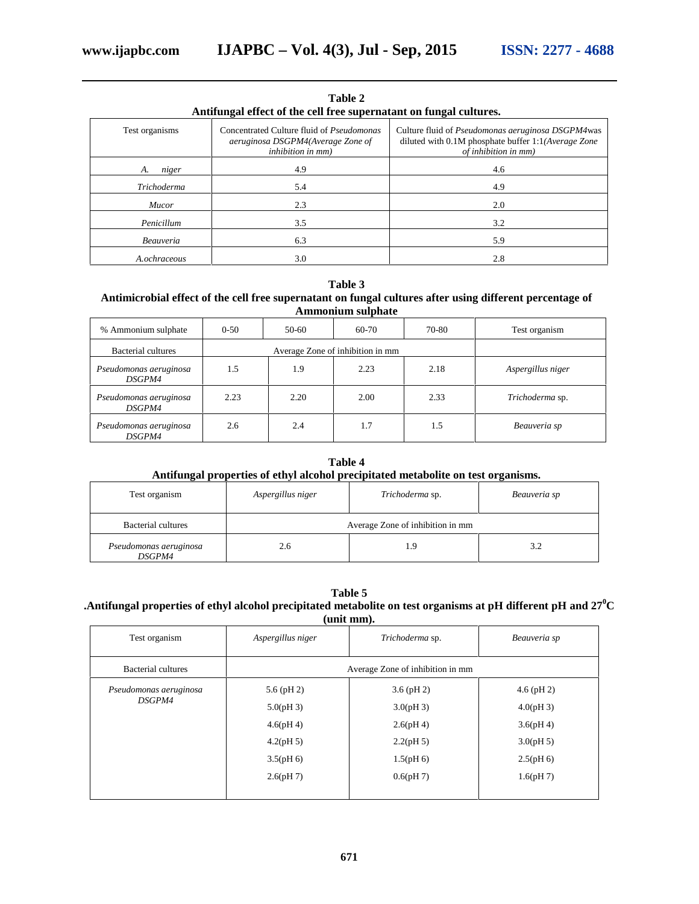| Antifungal effect of the cell free supernatant on fungal cultures. |                                                                                                            |                                                                                                                                          |  |  |
|--------------------------------------------------------------------|------------------------------------------------------------------------------------------------------------|------------------------------------------------------------------------------------------------------------------------------------------|--|--|
| Test organisms                                                     | Concentrated Culture fluid of Pseudomonas<br>aeruginosa DSGPM4(Average Zone of<br><i>inhibition</i> in mm) | Culture fluid of <i>Pseudomonas aeruginosa DSGPM4</i> was<br>diluted with 0.1M phosphate buffer 1:1(Average Zone<br>of inhibition in mm) |  |  |
| niger<br>A.                                                        | 4.9                                                                                                        | 4.6                                                                                                                                      |  |  |
| Trichoderma                                                        | 5.4                                                                                                        | 4.9                                                                                                                                      |  |  |
| <i>Mucor</i>                                                       | 2.3                                                                                                        | 2.0                                                                                                                                      |  |  |
| Penicillum                                                         | 3.5                                                                                                        | 3.2                                                                                                                                      |  |  |
| <b>Beauveria</b>                                                   | 6.3                                                                                                        | 5.9                                                                                                                                      |  |  |
| A.ochraceous                                                       | 3.0                                                                                                        | 2.8                                                                                                                                      |  |  |

**Table 2**

#### **Table 3**

### **Antimicrobial effect of the cell free supernatant on fungal cultures after using different percentage of Ammonium sulphate**

| % Ammonium sulphate                     | $0-50$                           | 50-60 | 60-70 | 70-80 | Test organism     |
|-----------------------------------------|----------------------------------|-------|-------|-------|-------------------|
| Bacterial cultures                      | Average Zone of inhibition in mm |       |       |       |                   |
| Pseudomonas aeruginosa<br><i>DSGPM4</i> | 1.5                              | 1.9   | 2.23  | 2.18  | Aspergillus niger |
| Pseudomonas aeruginosa<br><i>DSGPM4</i> | 2.23                             | 2.20  | 2.00  | 2.33  | Trichoderma sp.   |
| Pseudomonas aeruginosa<br><i>DSGPM4</i> | 2.6                              | 2.4   | 1.7   | 1.5   | Beauveria sp      |

# **Table 4 Antifungal properties of ethyl alcohol precipitated metabolite on test organisms.**

| Test organism                           | Aspergillus niger                | Trichoderma sp. | Beauveria sp |
|-----------------------------------------|----------------------------------|-----------------|--------------|
| Bacterial cultures                      | Average Zone of inhibition in mm |                 |              |
| Pseudomonas aeruginosa<br><i>DSGPM4</i> | 2.6                              |                 | 3.2          |

#### **Table 5**

# **.Antifungal properties of ethyl alcohol precipitated metabolite on test organisms at pH different pH and 27<sup>0</sup>C (unit mm).**

| Test organism          | Aspergillus niger                | Trichoderma sp. | Beauveria sp |  |
|------------------------|----------------------------------|-----------------|--------------|--|
| Bacterial cultures     | Average Zone of inhibition in mm |                 |              |  |
| Pseudomonas aeruginosa | $5.6$ (pH 2)                     | $3.6$ (pH 2)    | $4.6$ (pH 2) |  |
| <i>DSGPM4</i>          | 5.0(pH3)                         | 3.0(pH3)        | 4.0(pH 3)    |  |
|                        | 4.6(pH 4)                        | 2.6(pH4)        | 3.6(pH 4)    |  |
|                        | 4.2(pH 5)                        | 2.2(pH5)        | 3.0(pH 5)    |  |
|                        | 3.5(pH 6)                        | 1.5(pH 6)       | $2.5(pH_0)$  |  |
|                        | 2.6(pH7)                         | 0.6(pH7)        | 1.6(pH7)     |  |
|                        |                                  |                 |              |  |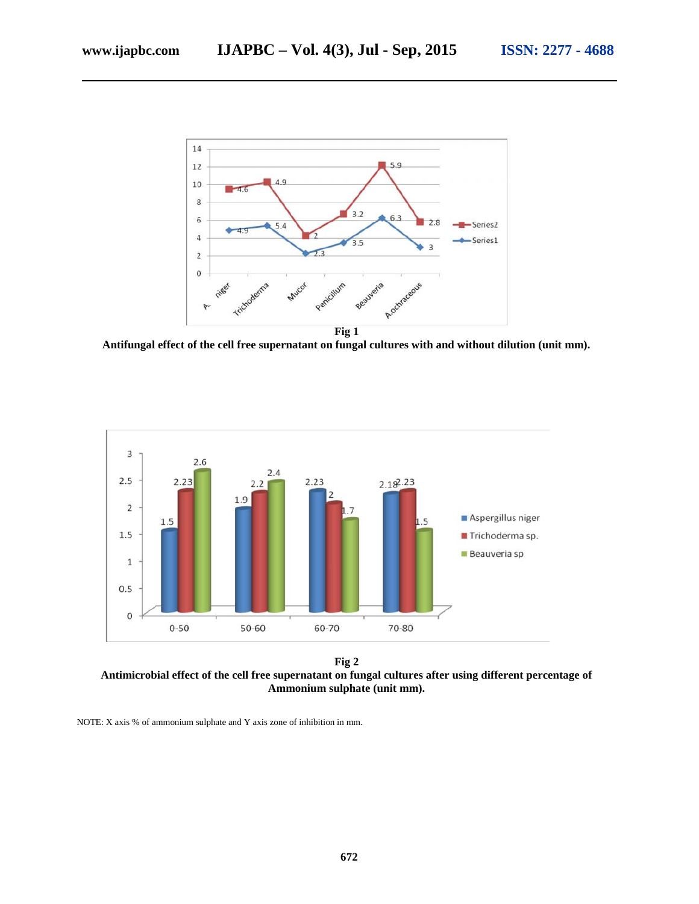

**Antifungal effect of the cell free supernatant on fungal cultures with and without dilution (unit mm).**



**Fig 2 Antimicrobial effect of the cell free supernatant on fungal cultures after using different percentage of Ammonium sulphate (unit mm).**

NOTE: X axis % of ammonium sulphate and Y axis zone of inhibition in mm.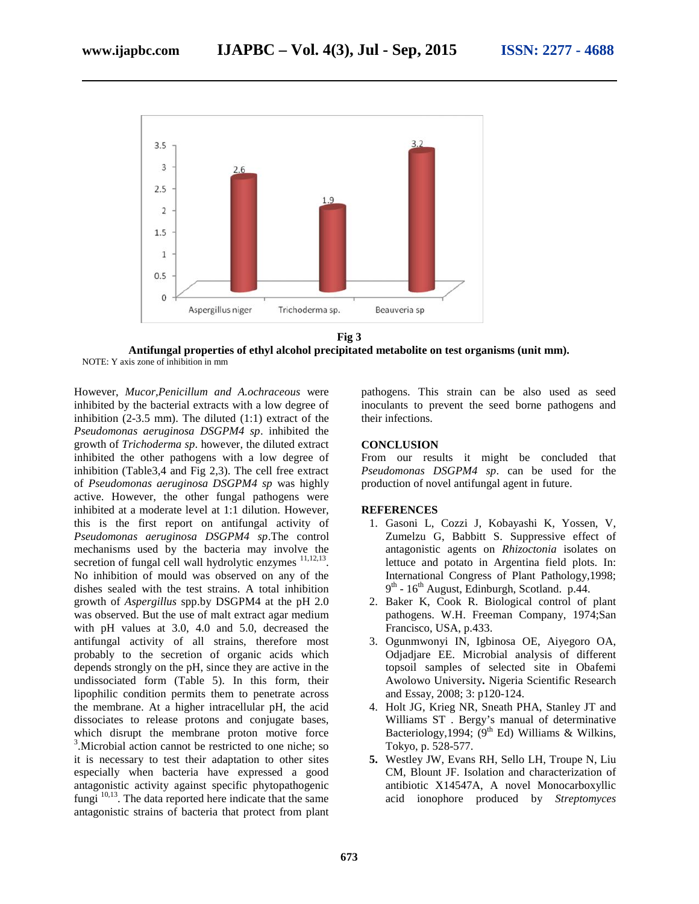

**Antifungal properties of ethyl alcohol precipitated metabolite on test organisms (unit mm).** NOTE: Y axis zone of inhibition in mm

However, *Mucor,Penicillum and A.ochraceous* were inhibited by the bacterial extracts with a low degree of inhibition  $(2-3.5 \text{ mm})$ . The diluted  $(1:1)$  extract of the *Pseudomonas aeruginosa DSGPM4 sp*. inhibited the growth of *Trichoderma sp*. however, the diluted extract inhibited the other pathogens with a low degree of inhibition (Table3,4 and Fig 2,3). The cell free extract of *Pseudomonas aeruginosa DSGPM4 sp* was highly active. However, the other fungal pathogens were inhibited at a moderate level at 1:1 dilution. However, this is the first report on antifungal activity of *Pseudomonas aeruginosa DSGPM4 sp*.The control mechanisms used by the bacteria may involve the secretion of fungal cell wall hydrolytic enzymes  $11,12,13$ . No inhibition of mould was observed on any of the dishes sealed with the test strains. A total inhibition growth of *Aspergillus* spp.by DSGPM4 at the pH 2.0 was observed. But the use of malt extract agar medium with pH values at 3.0, 4.0 and 5.0, decreased the antifungal activity of all strains, therefore most probably to the secretion of organic acids which depends strongly on the pH, since they are active in the undissociated form (Table 5). In this form, their lipophilic condition permits them to penetrate across the membrane. At a higher intracellular pH, the acid dissociates to release protons and conjugate bases, which disrupt the membrane proton motive force <sup>3</sup>. Microbial action cannot be restricted to one niche; so it is necessary to test their adaptation to other sites especially when bacteria have expressed a good antagonistic activity against specific phytopathogenic fungi  $^{10,13}$ . The data reported here indicate that the same antagonistic strains of bacteria that protect from plant

pathogens. This strain can be also used as seed inoculants to prevent the seed borne pathogens and their infections.

#### **CONCLUSION**

From our results it might be concluded that *Pseudomonas DSGPM4 sp*. can be used for the production of novel antifungal agent in future.

#### **REFERENCES**

- 1. Gasoni L, Cozzi J, Kobayashi K, Yossen, V, Zumelzu G, Babbitt S. Suppressive effect of antagonistic agents on *Rhizoctonia* isolates on lettuce and potato in Argentina field plots. In: International Congress of Plant Pathology,1998; 9<sup>th</sup> - 16<sup>th</sup> August, Edinburgh, Scotland. p.44.
- 2. Baker K, Cook R. Biological control of plant pathogens. W.H. Freeman Company, 1974;San Francisco, USA, p.433.
- 3. Ogunmwonyi IN, Igbinosa OE, Aiyegoro OA, Odjadjare EE. Microbial analysis of different topsoil samples of selected site in Obafemi Awolowo University**.** Nigeria Scientific Research and Essay, 2008; 3: p120-124.
- 4. Holt JG, Krieg NR, Sneath PHA, Stanley JT and Williams ST . Bergy's manual of determinative Bacteriology, 1994;  $(9<sup>th</sup> Ed)$  Williams & Wilkins, Tokyo, p. 528-577.
- **5.** Westley JW, Evans RH, Sello LH, Troupe N, Liu CM, Blount JF. Isolation and characterization of antibiotic X14547A, A novel Monocarboxyllic acid ionophore produced by *Streptomyces*